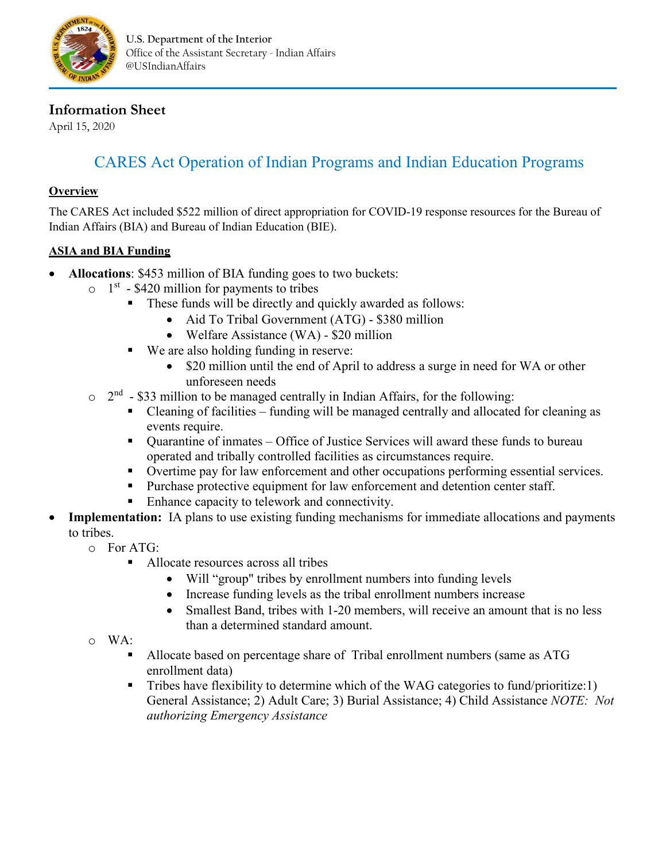

# **Information Sheet**

April 15, 2020

# CARES Act Operation of Indian Programs and Indian Education Programs

#### **Overview**

The CARES Act included \$522 million of direct appropriation for COVID-19 response resources for the Bureau of Indian Affairs (BIA) and Bureau of Indian Education (BIE).

## **ASIA and BIA Funding**

- **Allocations**: \$453 million of BIA funding goes to two buckets:
	- $\circ$  1<sup>st</sup> \$420 million for payments to tribes
		- These funds will be directly and quickly awarded as follows:
			- Aid To Tribal Government (ATG) \$380 million
			- Welfare Assistance (WA) \$20 million
		- We are also holding funding in reserve:
			- \$20 million until the end of April to address a surge in need for WA or other unforeseen needs
	- $\circ$  2<sup>nd</sup> \$33 million to be managed centrally in Indian Affairs, for the following:
		- Cleaning of facilities funding will be managed centrally and allocated for cleaning as events require.
		- Quarantine of inmates Office of Justice Services will award these funds to bureau operated and tribally controlled facilities as circumstances require.
		- Overtime pay for law enforcement and other occupations performing essential services.
		- Purchase protective equipment for law enforcement and detention center staff.
		- Enhance capacity to telework and connectivity.
- **Implementation:** IA plans to use existing funding mechanisms for immediate allocations and payments to tribes.
	- $\circ$  For ATG:
		- Allocate resources across all tribes
			- Will "group" tribes by enrollment numbers into funding levels
			- Increase funding levels as the tribal enrollment numbers increase
			- Smallest Band, tribes with 1-20 members, will receive an amount that is no less than a determined standard amount.
	- o WA:
		- Allocate based on percentage share of Tribal enrollment numbers (same as ATG enrollment data)
		- Tribes have flexibility to determine which of the WAG categories to fund/prioritize:1) General Assistance; 2) Adult Care; 3) Burial Assistance; 4) Child Assistance *NOTE: Not authorizing Emergency Assistance*